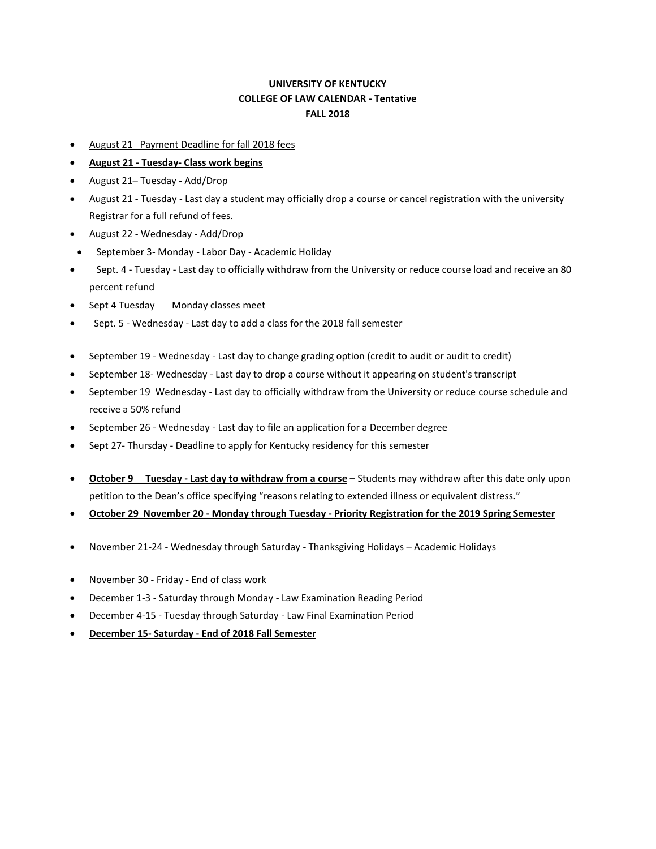## **UNIVERSITY OF KENTUCKY COLLEGE OF LAW CALENDAR - Tentative FALL 2018**

- August 21 Payment Deadline for fall 2018 fees
- **August 21 - Tuesday- Class work begins**
- August 21– Tuesday Add/Drop
- August 21 Tuesday Last day a student may officially drop a course or cancel registration with the university Registrar for a full refund of fees.
- August 22 Wednesday Add/Drop
- September 3- Monday Labor Day Academic Holiday
- Sept. 4 Tuesday Last day to officially withdraw from the University or reduce course load and receive an 80 percent refund
- Sept 4 Tuesday Monday classes meet
- Sept. 5 Wednesday Last day to add a class for the 2018 fall semester
- September 19 Wednesday Last day to change grading option (credit to audit or audit to credit)
- September 18- Wednesday Last day to drop a course without it appearing on student's transcript
- September 19 Wednesday Last day to officially withdraw from the University or reduce course schedule and receive a 50% refund
- September 26 Wednesday Last day to file an application for a December degree
- Sept 27- Thursday Deadline to apply for Kentucky residency for this semester
- **October 9 Tuesday - Last day to withdraw from a course** Students may withdraw after this date only upon petition to the Dean's office specifying "reasons relating to extended illness or equivalent distress."
- **October 29 November 20 - Monday through Tuesday - Priority Registration for the 2019 Spring Semester**
- November 21-24 Wednesday through Saturday Thanksgiving Holidays Academic Holidays
- November 30 Friday End of class work
- December 1-3 Saturday through Monday Law Examination Reading Period
- December 4-15 Tuesday through Saturday Law Final Examination Period
- **December 15- Saturday - End of 2018 Fall Semester**